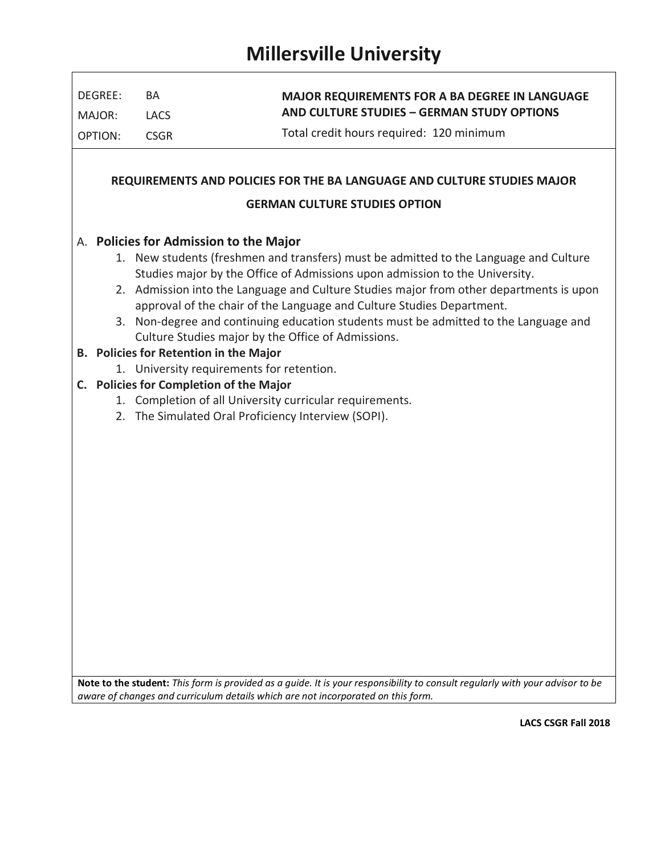| DEGREE:                                                                                                                                                                                                             | BA                                                                                      | <b>MAJOR REQUIREMENTS FOR A BA DEGREE IN LANGUAGE</b><br>AND CULTURE STUDIES - GERMAN STUDY OPTIONS |  |  |  |  |  |                                        |  |  |
|---------------------------------------------------------------------------------------------------------------------------------------------------------------------------------------------------------------------|-----------------------------------------------------------------------------------------|-----------------------------------------------------------------------------------------------------|--|--|--|--|--|----------------------------------------|--|--|
| MAJOR:                                                                                                                                                                                                              | LACS                                                                                    |                                                                                                     |  |  |  |  |  |                                        |  |  |
| OPTION:                                                                                                                                                                                                             | <b>CSGR</b>                                                                             | Total credit hours required: 120 minimum                                                            |  |  |  |  |  |                                        |  |  |
|                                                                                                                                                                                                                     |                                                                                         |                                                                                                     |  |  |  |  |  |                                        |  |  |
| REQUIREMENTS AND POLICIES FOR THE BA LANGUAGE AND CULTURE STUDIES MAJOR                                                                                                                                             |                                                                                         |                                                                                                     |  |  |  |  |  |                                        |  |  |
| <b>GERMAN CULTURE STUDIES OPTION</b>                                                                                                                                                                                |                                                                                         |                                                                                                     |  |  |  |  |  |                                        |  |  |
| A. Policies for Admission to the Major                                                                                                                                                                              |                                                                                         |                                                                                                     |  |  |  |  |  |                                        |  |  |
|                                                                                                                                                                                                                     | 1. New students (freshmen and transfers) must be admitted to the Language and Culture   |                                                                                                     |  |  |  |  |  |                                        |  |  |
|                                                                                                                                                                                                                     | Studies major by the Office of Admissions upon admission to the University.             |                                                                                                     |  |  |  |  |  |                                        |  |  |
|                                                                                                                                                                                                                     | 2. Admission into the Language and Culture Studies major from other departments is upon |                                                                                                     |  |  |  |  |  |                                        |  |  |
| approval of the chair of the Language and Culture Studies Department.<br>3. Non-degree and continuing education students must be admitted to the Language and<br>Culture Studies major by the Office of Admissions. |                                                                                         |                                                                                                     |  |  |  |  |  |                                        |  |  |
|                                                                                                                                                                                                                     |                                                                                         |                                                                                                     |  |  |  |  |  | B. Policies for Retention in the Major |  |  |
|                                                                                                                                                                                                                     | 1. University requirements for retention.                                               |                                                                                                     |  |  |  |  |  |                                        |  |  |
|                                                                                                                                                                                                                     | C. Policies for Completion of the Major                                                 |                                                                                                     |  |  |  |  |  |                                        |  |  |
|                                                                                                                                                                                                                     | 1. Completion of all University curricular requirements.                                |                                                                                                     |  |  |  |  |  |                                        |  |  |
|                                                                                                                                                                                                                     | 2. The Simulated Oral Proficiency Interview (SOPI).                                     |                                                                                                     |  |  |  |  |  |                                        |  |  |
|                                                                                                                                                                                                                     |                                                                                         |                                                                                                     |  |  |  |  |  |                                        |  |  |
|                                                                                                                                                                                                                     |                                                                                         |                                                                                                     |  |  |  |  |  |                                        |  |  |
|                                                                                                                                                                                                                     |                                                                                         |                                                                                                     |  |  |  |  |  |                                        |  |  |
|                                                                                                                                                                                                                     |                                                                                         |                                                                                                     |  |  |  |  |  |                                        |  |  |
|                                                                                                                                                                                                                     |                                                                                         |                                                                                                     |  |  |  |  |  |                                        |  |  |
|                                                                                                                                                                                                                     |                                                                                         |                                                                                                     |  |  |  |  |  |                                        |  |  |
|                                                                                                                                                                                                                     |                                                                                         |                                                                                                     |  |  |  |  |  |                                        |  |  |
|                                                                                                                                                                                                                     |                                                                                         |                                                                                                     |  |  |  |  |  |                                        |  |  |
|                                                                                                                                                                                                                     |                                                                                         |                                                                                                     |  |  |  |  |  |                                        |  |  |
|                                                                                                                                                                                                                     |                                                                                         |                                                                                                     |  |  |  |  |  |                                        |  |  |
|                                                                                                                                                                                                                     |                                                                                         |                                                                                                     |  |  |  |  |  |                                        |  |  |
|                                                                                                                                                                                                                     |                                                                                         |                                                                                                     |  |  |  |  |  |                                        |  |  |
|                                                                                                                                                                                                                     |                                                                                         |                                                                                                     |  |  |  |  |  |                                        |  |  |
|                                                                                                                                                                                                                     |                                                                                         |                                                                                                     |  |  |  |  |  |                                        |  |  |

**Note to the student:** *This form is provided as a guide. It is your responsibility to consult regularly with your advisor to be aware of changes and curriculum details which are not incorporated on this form.* 

**LACS CSGR Fall 2018**